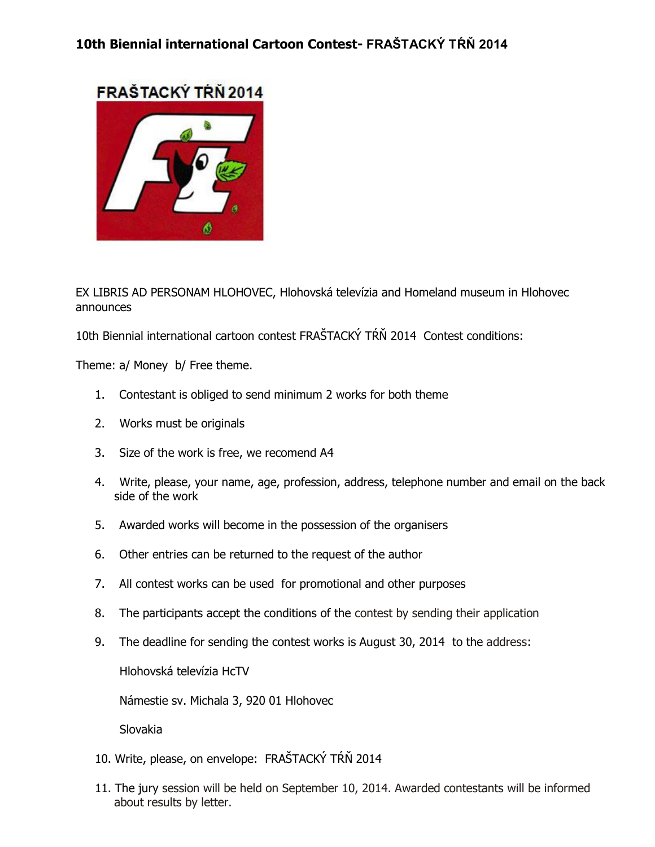

EX LIBRIS AD PERSONAM HLOHOVEC, Hlohovská televízia and Homeland museum in Hlohovec announces

10th Biennial international cartoon contest FRAŠTACKÝ TŔŇ 2014 Contest conditions:

Theme: a/ Money b/ Free theme.

- 1. Contestant is obliged to send minimum 2 works for both theme
- 2. Works must be originals
- 3. Size of the work is free, we recomend A4
- 4. Write, please, your name, age, profession, address, telephone number and email on the back side of the work
- 5. Awarded works will become in the possession of the organisers
- 6. Other entries can be returned to the request of the author
- 7. All contest works can be used for promotional and other purposes
- 8. The participants accept the conditions of the contest by sending their application
- 9. The deadline for sending the contest works is August 30, 2014 to the address:

Hlohovská televízia HcTV

Námestie sv. Michala 3, 920 01 Hlohovec

Slovakia

- 10. Write, please, on envelope: FRAŠTACKÝ TŔŇ 2014
- 11. The jury session will be held on September 10, 2014. Awarded contestants will be informed about results by letter.